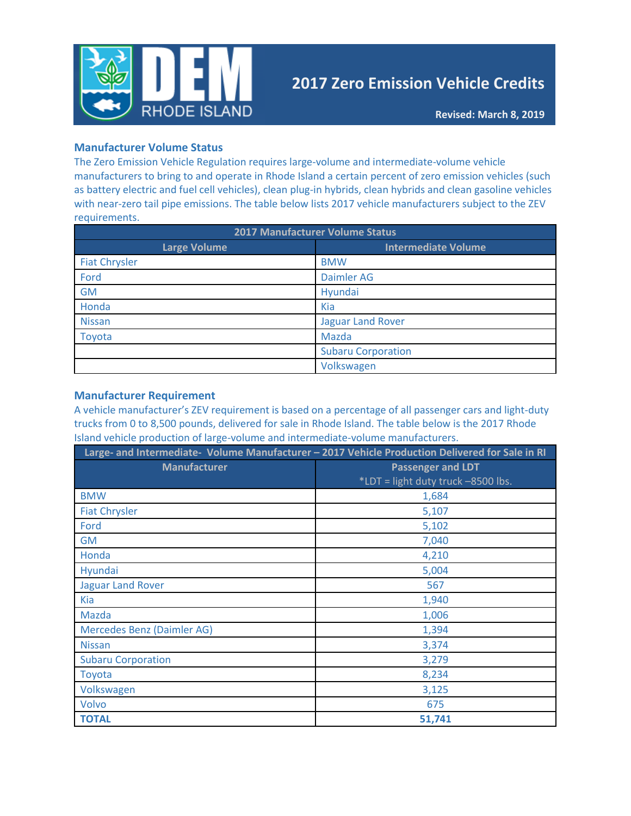

# **2017 Zero Emission Vehicle Credits**

### **Manufacturer Volume Status**

The Zero Emission Vehicle Regulation requires large-volume and intermediate-volume vehicle manufacturers to bring to and operate in Rhode Island a certain percent of zero emission vehicles (such as battery electric and fuel cell vehicles), clean plug-in hybrids, clean hybrids and clean gasoline vehicles with near-zero tail pipe emissions. The table below lists 2017 vehicle manufacturers subject to the ZEV requirements.

| <b>2017 Manufacturer Volume Status</b> |                            |  |  |
|----------------------------------------|----------------------------|--|--|
| <b>Large Volume</b>                    | <b>Intermediate Volume</b> |  |  |
| <b>Fiat Chrysler</b>                   | <b>BMW</b>                 |  |  |
| Ford                                   | <b>Daimler AG</b>          |  |  |
| <b>GM</b>                              | Hyundai                    |  |  |
| Honda                                  | Kia                        |  |  |
| <b>Nissan</b>                          | <b>Jaguar Land Rover</b>   |  |  |
| Toyota                                 | Mazda                      |  |  |
|                                        | <b>Subaru Corporation</b>  |  |  |
|                                        | Volkswagen                 |  |  |

#### **Manufacturer Requirement**

A vehicle manufacturer's ZEV requirement is based on a percentage of all passenger cars and light-duty trucks from 0 to 8,500 pounds, delivered for sale in Rhode Island. The table below is the 2017 Rhode Island vehicle production of large-volume and intermediate-volume manufacturers.

| Large- and Intermediate- Volume Manufacturer - 2017 Vehicle Production Delivered for Sale in RI |                                    |  |  |
|-------------------------------------------------------------------------------------------------|------------------------------------|--|--|
| <b>Manufacturer</b>                                                                             | <b>Passenger and LDT</b>           |  |  |
|                                                                                                 | *LDT = light duty truck -8500 lbs. |  |  |
| <b>BMW</b>                                                                                      | 1,684                              |  |  |
| <b>Fiat Chrysler</b>                                                                            | 5,107                              |  |  |
| Ford                                                                                            | 5,102                              |  |  |
| <b>GM</b>                                                                                       | 7,040                              |  |  |
| Honda                                                                                           | 4,210                              |  |  |
| <b>Hyundai</b>                                                                                  | 5,004                              |  |  |
| <b>Jaguar Land Rover</b>                                                                        | 567                                |  |  |
| <b>Kia</b>                                                                                      | 1,940                              |  |  |
| <b>Mazda</b>                                                                                    | 1,006                              |  |  |
| Mercedes Benz (Daimler AG)                                                                      | 1,394                              |  |  |
| <b>Nissan</b>                                                                                   | 3,374                              |  |  |
| <b>Subaru Corporation</b>                                                                       | 3,279                              |  |  |
| Toyota                                                                                          | 8,234                              |  |  |
| Volkswagen                                                                                      | 3,125                              |  |  |
| Volvo                                                                                           | 675                                |  |  |
| <b>TOTAL</b>                                                                                    | 51,741                             |  |  |